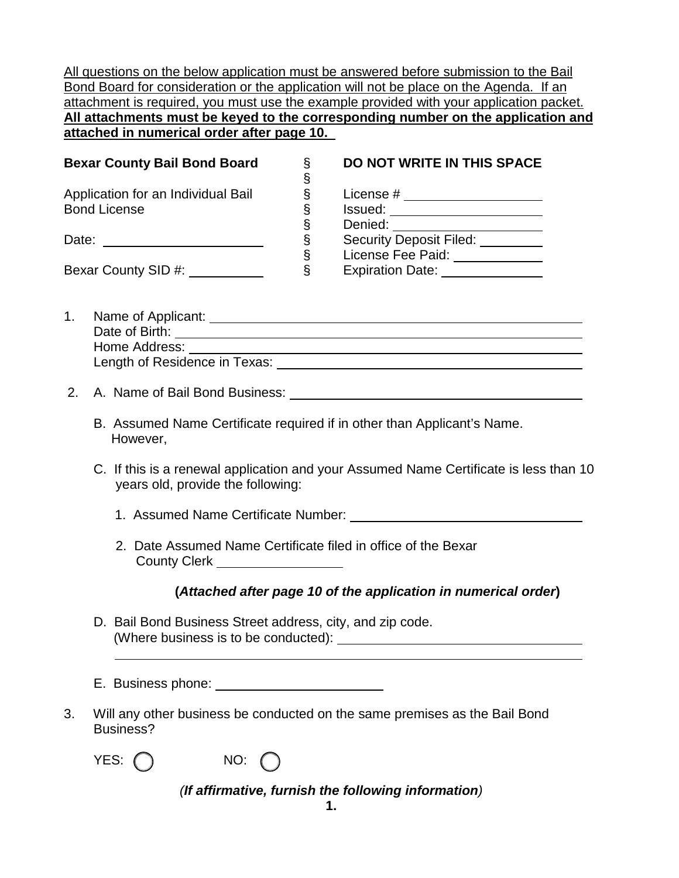All questions on the below application must be answered before submission to the Bail Bond Board for consideration or the application will not be place on the Agenda. If an attachment is required, you must use the example provided with your application packet. **All attachments must be keyed to the corresponding number on the application and attached in numerical order after page 10.**

| <b>Bexar County Bail Bond Board</b> |   | DO NOT WRITE IN THIS SPACE     |
|-------------------------------------|---|--------------------------------|
| Application for an Individual Bail  |   | License #                      |
| <b>Bond License</b>                 |   | Issued:                        |
|                                     | ◇ | Denied:                        |
| Date:                               | Ş | <b>Security Deposit Filed:</b> |
|                                     | δ | License Fee Paid:              |
| Bexar County SID #:                 |   | <b>Expiration Date:</b>        |

- 1. Name of Applicant: Date of Birth: Home Address: Length of Residence in Texas:
- 2. A. Name of Bail Bond Business:
	- B. Assumed Name Certificate required if in other than Applicant's Name. However,
	- C. If this is a renewal application and your Assumed Name Certificate is less than 10 years old, provide the following:
		- 1. Assumed Name Certificate Number:
		- 2. Date Assumed Name Certificate filed in office of the Bexar County Clerk \_\_\_\_\_\_\_\_\_\_\_\_\_\_\_\_\_\_

#### **(***Attached after page 10 of the application in numerical order***)**

- D. Bail Bond Business Street address, city, and zip code. (Where business is to be conducted):
- E. Business phone:
- 3. Will any other business be conducted on the same premises as the Bail Bond Business?

| Y |  |
|---|--|
|   |  |



*(If affirmative, furnish the following information)*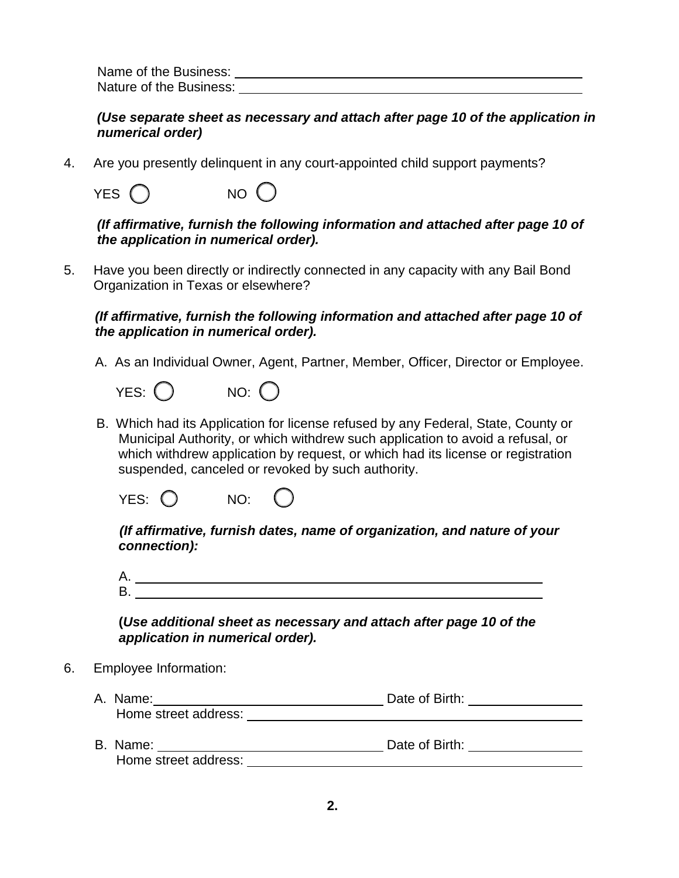Name of the Business: Nature of the Business: Nature of the Business:

*(Use separate sheet as necessary and attach after page 10 of the application in numerical order)* 

4. Are you presently delinquent in any court-appointed child support payments?

| YES $\bigcirc$ | NO <sub>o</sub> |
|----------------|-----------------|
|----------------|-----------------|

*(If affirmative, furnish the following information and attached after page 10 of the application in numerical order).*

5. Have you been directly or indirectly connected in any capacity with any Bail Bond Organization in Texas or elsewhere?

 *(If affirmative, furnish the following information and attached after page 10 of the application in numerical order).*

A. As an Individual Owner, Agent, Partner, Member, Officer, Director or Employee.

 $YES: \bigcap$  NO:  $\bigcap$ 

 B. Which had its Application for license refused by any Federal, State, County or Municipal Authority, or which withdrew such application to avoid a refusal, or which withdrew application by request, or which had its license or registration suspended, canceled or revoked by such authority.

YES: () NO:

 *(If affirmative, furnish dates, name of organization, and nature of your connection):* 

A. B.

**(***Use additional sheet as necessary and attach after page 10 of the application in numerical order).*

- 6. Employee Information:
	- A. Name: Date of Birth: Home street address: B. Name:  $\qquad \qquad$  Date of Birth:
		- Home street address: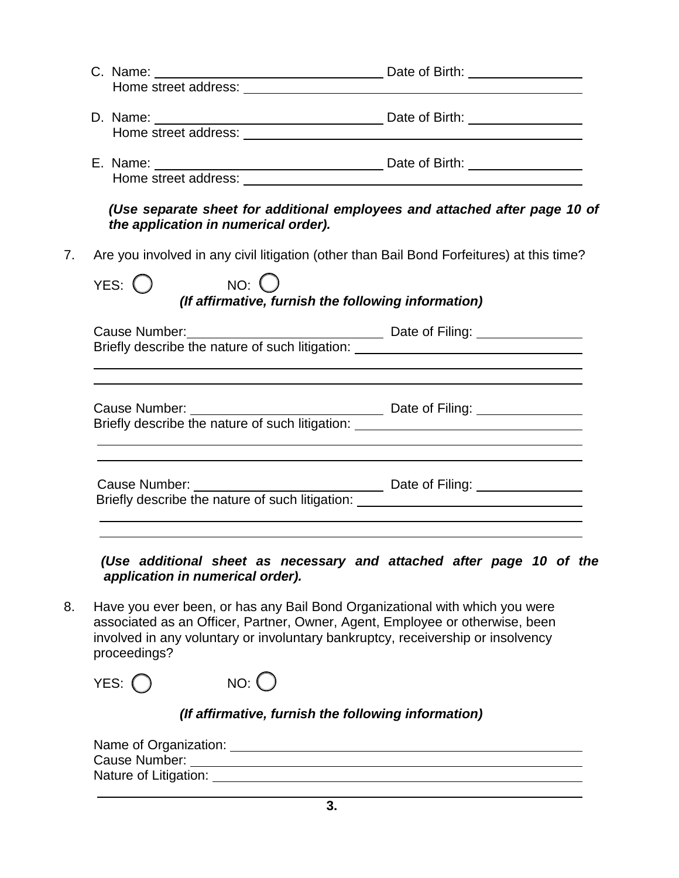| Home street address: <b>Manual Company of the Street and Street address:</b>                                       |
|--------------------------------------------------------------------------------------------------------------------|
| (Use separate sheet for additional employees and attached after page 10 of<br>the application in numerical order). |
| Are you involved in any civil litigation (other than Bail Bond Forfeitures) at this time?                          |
| (If affirmative, furnish the following information)                                                                |
| Cause Number:<br>Briefly describe the nature of such litigation: ________________________________                  |
|                                                                                                                    |
|                                                                                                                    |
|                                                                                                                    |

 *(Use additional sheet as necessary and attached after page 10 of the application in numerical order).*

8. Have you ever been, or has any Bail Bond Organizational with which you were associated as an Officer, Partner, Owner, Agent, Employee or otherwise, been involved in any voluntary or involuntary bankruptcy, receivership or insolvency proceedings?

YES:  $\bigcap$  NO:  $\bigcap$ 

# *(If affirmative, furnish the following information)*

| Name of Organization: |  |
|-----------------------|--|
| Cause Number:         |  |
| Nature of Litigation: |  |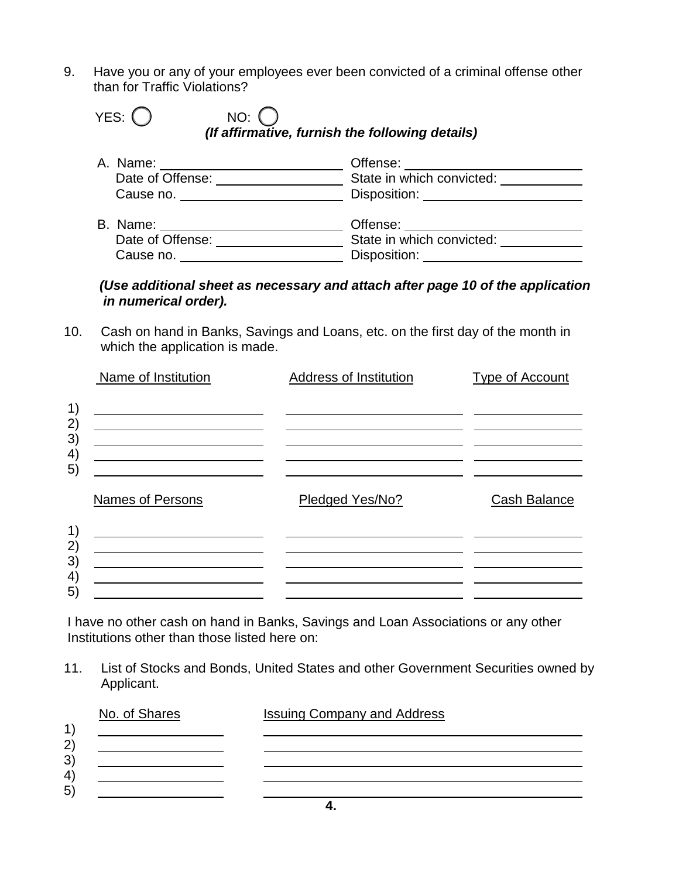9. Have you or any of your employees ever been convicted of a criminal offense other than for Traffic Violations?

| YES: $\bigcap$ | $NO:$ $\bigcap$                                 |  |
|----------------|-------------------------------------------------|--|
|                | (If affirmative, furnish the following details) |  |

| A. Name:         | Offense:                  |
|------------------|---------------------------|
| Date of Offense: | State in which convicted: |
| Cause no.        | Disposition:              |
| B. Name:         | Offense:                  |
| Date of Offense: | State in which convicted: |
| Cause no.        | Disposition:              |

#### *(Use additional sheet as necessary and attach after page 10 of the application in numerical order).*

10. Cash on hand in Banks, Savings and Loans, etc. on the first day of the month in which the application is made.

|          | Name of Institution                                                                                                                                                                                                                             | Address of Institution | <b>Type of Account</b> |
|----------|-------------------------------------------------------------------------------------------------------------------------------------------------------------------------------------------------------------------------------------------------|------------------------|------------------------|
| 1)       |                                                                                                                                                                                                                                                 |                        |                        |
| 2)<br>3) | the contract of the contract of the contract of the contract of the contract of                                                                                                                                                                 |                        |                        |
| 4)<br>5) | <u> 1989 - Johann Barnett, fransk konge og det forskellige og det forskellige og det forskellige og det forskellig</u><br><u> 1989 - Johann Barbara, martin a bhann an t-Alban an t-Alban an t-Alban an t-Alban an t-Alban an t-Alban an t-</u> |                        |                        |
|          | Names of Persons                                                                                                                                                                                                                                | Pledged Yes/No?        | Cash Balance           |
| 1)       |                                                                                                                                                                                                                                                 |                        |                        |
| 2)<br>3) |                                                                                                                                                                                                                                                 |                        |                        |
| 4)<br>5) |                                                                                                                                                                                                                                                 |                        |                        |
|          |                                                                                                                                                                                                                                                 |                        |                        |

I have no other cash on hand in Banks, Savings and Loan Associations or any other Institutions other than those listed here on:

11. List of Stocks and Bonds, United States and other Government Securities owned by Applicant.

| No. of Shares | <b>Issuing Company and Address</b> |
|---------------|------------------------------------|
|               |                                    |
|               |                                    |
|               |                                    |
|               |                                    |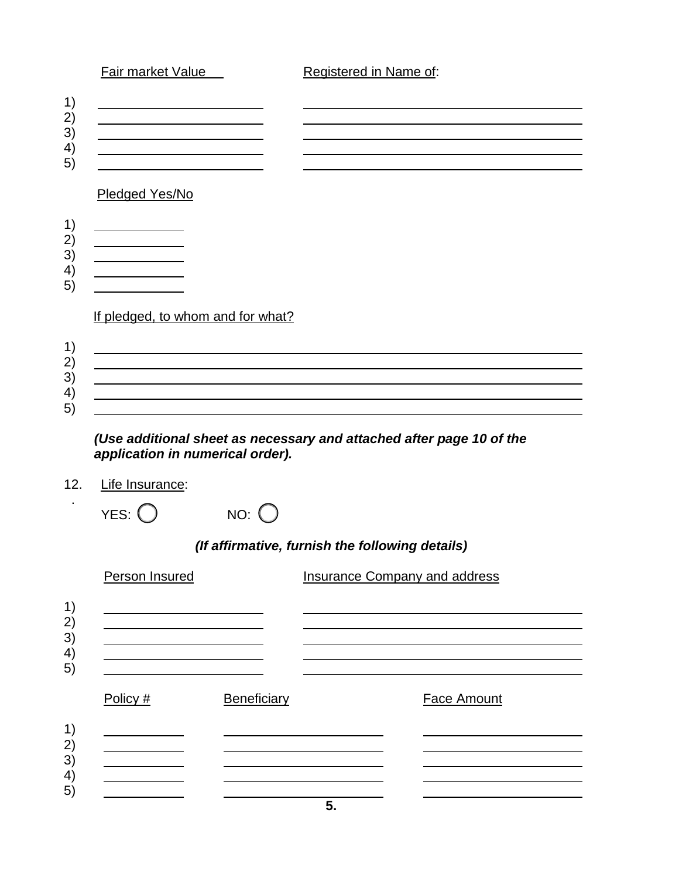# *(Use additional sheet as necessary and attached after page 10 of the application in numerical order).*

# 12. Life Insurance:

.

| YES: $\bigcirc$ | $NO:$ $O$ |
|-----------------|-----------|
|                 |           |

# *(If affirmative, furnish the following details)*

|                                                      | Person Insured |             | Insurance Company and address |
|------------------------------------------------------|----------------|-------------|-------------------------------|
| 1)<br>2)<br>3)<br>$\left( \frac{4}{2} \right)$       |                |             |                               |
| 5)                                                   | Policy #       | Beneficiary | Face Amount                   |
| 1)<br>2)<br>3)<br>$\left( \frac{4}{2} \right)$<br>5) |                |             |                               |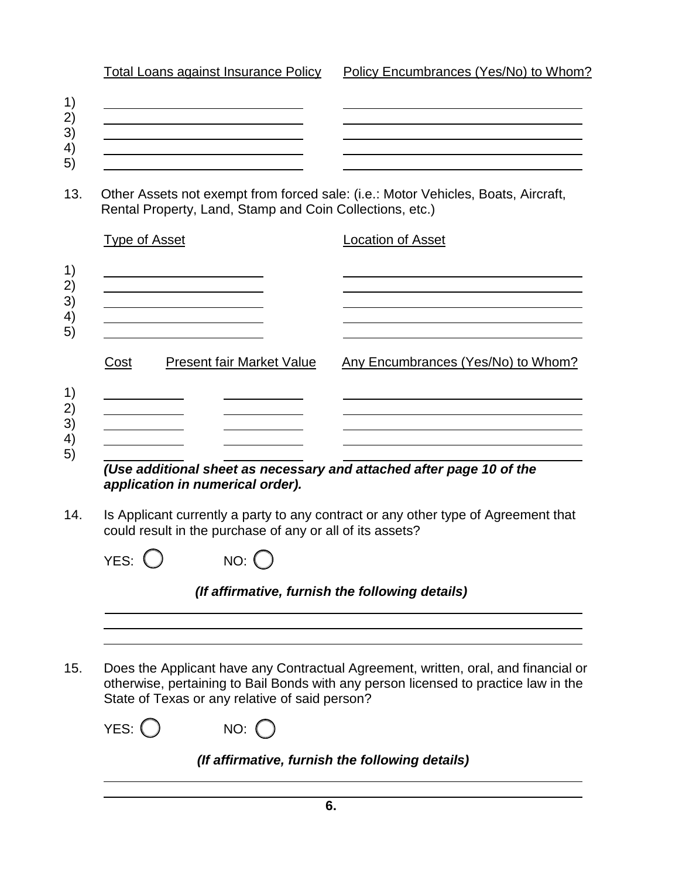Total Loans against Insurance Policy Policy Encumbrances (Yes/No) to Whom?

- 1) 2)
- 3) <u> 1980 - Johann Barbara, martin a</u>
- 4) 5)
- 13. Other Assets not exempt from forced sale: (i.e.: Motor Vehicles, Boats, Aircraft, Rental Property, Land, Stamp and Coin Collections, etc.)

| <b>Type of Asset</b>                     | <b>Location of Asset</b>           |  |
|------------------------------------------|------------------------------------|--|
|                                          |                                    |  |
| Cost<br><b>Present fair Market Value</b> | Any Encumbrances (Yes/No) to Whom? |  |
|                                          |                                    |  |

*application in numerical order).*

14. Is Applicant currently a party to any contract or any other type of Agreement that could result in the purchase of any or all of its assets?

| YES: $\bigcirc$ |  | $NO:$ $\bigcirc$ |  |
|-----------------|--|------------------|--|
|-----------------|--|------------------|--|

| (If affirmative, furnish the following details) |  |  |
|-------------------------------------------------|--|--|
|                                                 |  |  |

15. Does the Applicant have any Contractual Agreement, written, oral, and financial or otherwise, pertaining to Bail Bonds with any person licensed to practice law in the State of Texas or any relative of said person?

| $NO:$ $\bigcirc$ |
|------------------|
|                  |

# *(If affirmative, furnish the following details)*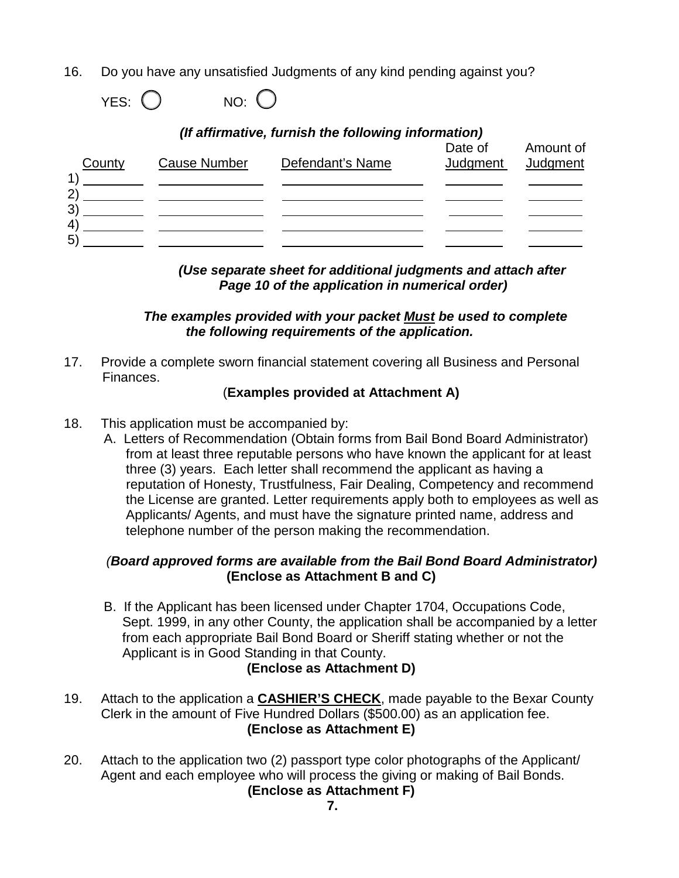16. Do you have any unsatisfied Judgments of any kind pending against you?

```
YES: O NO: O
```

| (If affirmative, furnish the following information) |                     |                  |                     |                       |  |
|-----------------------------------------------------|---------------------|------------------|---------------------|-----------------------|--|
| County                                              | <b>Cause Number</b> | Defendant's Name | Date of<br>Judgment | Amount of<br>Judgment |  |
| 1<br>$\mathbf{2}$                                   |                     |                  |                     |                       |  |
| 3 <sup>′</sup>                                      |                     |                  |                     |                       |  |
| $\overline{4}$<br>5)                                |                     |                  |                     |                       |  |

 *(Use separate sheet for additional judgments and attach after Page 10 of the application in numerical order)*

#### *The examples provided with your packet Must be used to complete the following requirements of the application.*

17. Provide a complete sworn financial statement covering all Business and Personal Finances.

#### (**Examples provided at Attachment A)**

- 18. This application must be accompanied by:
	- A. Letters of Recommendation (Obtain forms from Bail Bond Board Administrator) from at least three reputable persons who have known the applicant for at least three (3) years. Each letter shall recommend the applicant as having a reputation of Honesty, Trustfulness, Fair Dealing, Competency and recommend the License are granted. Letter requirements apply both to employees as well as Applicants/ Agents, and must have the signature printed name, address and telephone number of the person making the recommendation.

#### *(Board approved forms are available from the Bail Bond Board Administrator)*  **(Enclose as Attachment B and C)**

- B. If the Applicant has been licensed under Chapter 1704, Occupations Code, Sept. 1999, in any other County, the application shall be accompanied by a letter from each appropriate Bail Bond Board or Sheriff stating whether or not the Applicant is in Good Standing in that County. **(Enclose as Attachment D)**
- 19. Attach to the application a **CASHIER'S CHECK**, made payable to the Bexar County Clerk in the amount of Five Hundred Dollars (\$500.00) as an application fee. **(Enclose as Attachment E)**
- 20. Attach to the application two (2) passport type color photographs of the Applicant/ Agent and each employee who will process the giving or making of Bail Bonds.

# **(Enclose as Attachment F)**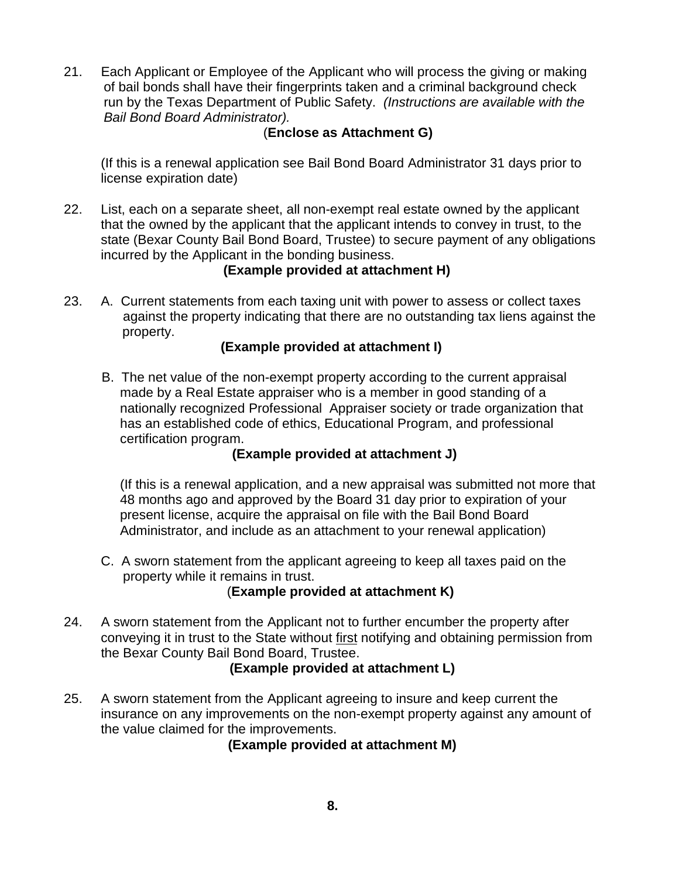21. Each Applicant or Employee of the Applicant who will process the giving or making of bail bonds shall have their fingerprints taken and a criminal background check run by the Texas Department of Public Safety. *(Instructions are available with the Bail Bond Board Administrator).* 

# (**Enclose as Attachment G)**

 (If this is a renewal application see Bail Bond Board Administrator 31 days prior to license expiration date)

22. List, each on a separate sheet, all non-exempt real estate owned by the applicant that the owned by the applicant that the applicant intends to convey in trust, to the state (Bexar County Bail Bond Board, Trustee) to secure payment of any obligations incurred by the Applicant in the bonding business.

# **(Example provided at attachment H)**

23. A. Current statements from each taxing unit with power to assess or collect taxes against the property indicating that there are no outstanding tax liens against the property.

# **(Example provided at attachment I)**

 B. The net value of the non-exempt property according to the current appraisal made by a Real Estate appraiser who is a member in good standing of a nationally recognized Professional Appraiser society or trade organization that has an established code of ethics, Educational Program, and professional certification program.

# **(Example provided at attachment J)**

 (If this is a renewal application, and a new appraisal was submitted not more that 48 months ago and approved by the Board 31 day prior to expiration of your present license, acquire the appraisal on file with the Bail Bond Board Administrator, and include as an attachment to your renewal application)

 C. A sworn statement from the applicant agreeing to keep all taxes paid on the property while it remains in trust.

# (**Example provided at attachment K)**

24. A sworn statement from the Applicant not to further encumber the property after conveying it in trust to the State without first notifying and obtaining permission from the Bexar County Bail Bond Board, Trustee.

# **(Example provided at attachment L)**

25. A sworn statement from the Applicant agreeing to insure and keep current the insurance on any improvements on the non-exempt property against any amount of the value claimed for the improvements.

 **(Example provided at attachment M)**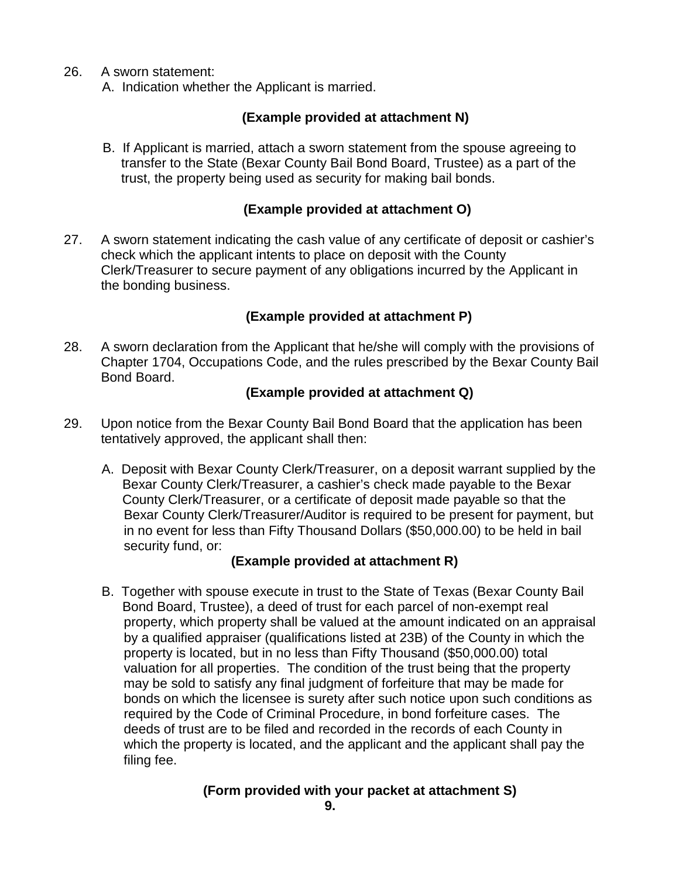- 26. A sworn statement:
	- A. Indication whether the Applicant is married.

# **(Example provided at attachment N)**

 B. If Applicant is married, attach a sworn statement from the spouse agreeing to transfer to the State (Bexar County Bail Bond Board, Trustee) as a part of the trust, the property being used as security for making bail bonds.

#### **(Example provided at attachment O)**

27. A sworn statement indicating the cash value of any certificate of deposit or cashier's check which the applicant intents to place on deposit with the County Clerk/Treasurer to secure payment of any obligations incurred by the Applicant in the bonding business.

#### **(Example provided at attachment P)**

28. A sworn declaration from the Applicant that he/she will comply with the provisions of Chapter 1704, Occupations Code, and the rules prescribed by the Bexar County Bail Bond Board.

#### **(Example provided at attachment Q)**

- 29. Upon notice from the Bexar County Bail Bond Board that the application has been tentatively approved, the applicant shall then:
	- A. Deposit with Bexar County Clerk/Treasurer, on a deposit warrant supplied by the Bexar County Clerk/Treasurer, a cashier's check made payable to the Bexar County Clerk/Treasurer, or a certificate of deposit made payable so that the Bexar County Clerk/Treasurer/Auditor is required to be present for payment, but in no event for less than Fifty Thousand Dollars (\$50,000.00) to be held in bail security fund, or:

# **(Example provided at attachment R)**

 B. Together with spouse execute in trust to the State of Texas (Bexar County Bail Bond Board, Trustee), a deed of trust for each parcel of non-exempt real property, which property shall be valued at the amount indicated on an appraisal by a qualified appraiser (qualifications listed at 23B) of the County in which the property is located, but in no less than Fifty Thousand (\$50,000.00) total valuation for all properties. The condition of the trust being that the property may be sold to satisfy any final judgment of forfeiture that may be made for bonds on which the licensee is surety after such notice upon such conditions as required by the Code of Criminal Procedure, in bond forfeiture cases. The deeds of trust are to be filed and recorded in the records of each County in which the property is located, and the applicant and the applicant shall pay the filing fee.

#### **(Form provided with your packet at attachment S)**